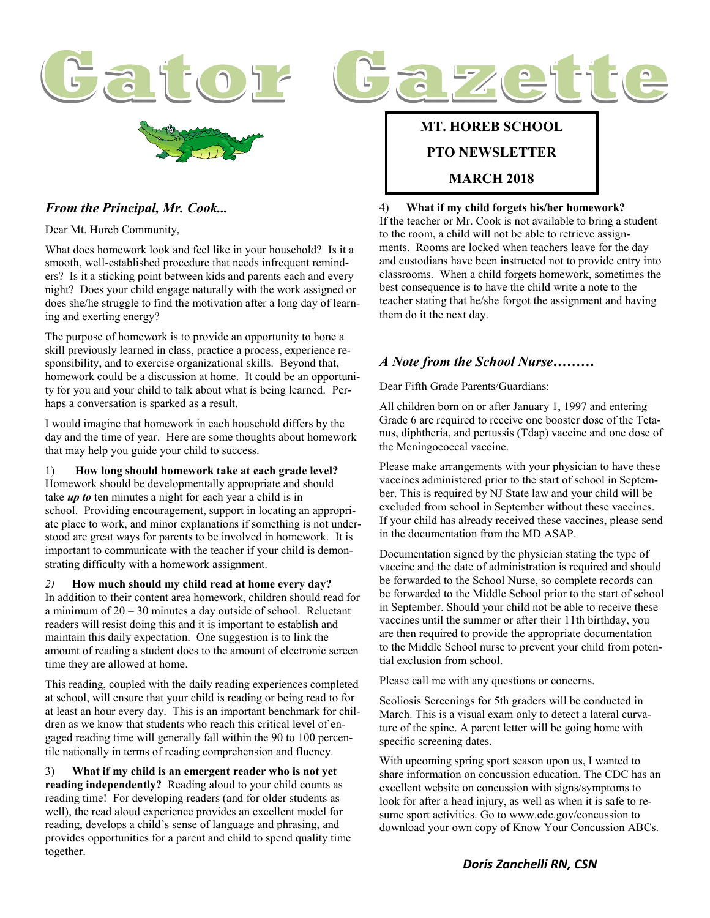



Dear Mt. Horeb Community,

What does homework look and feel like in your household? Is it a smooth, well-established procedure that needs infrequent reminders? Is it a sticking point between kids and parents each and every night? Does your child engage naturally with the work assigned or does she/he struggle to find the motivation after a long day of learning and exerting energy?

The purpose of homework is to provide an opportunity to hone a skill previously learned in class, practice a process, experience responsibility, and to exercise organizational skills. Beyond that, homework could be a discussion at home. It could be an opportunity for you and your child to talk about what is being learned. Perhaps a conversation is sparked as a result.

I would imagine that homework in each household differs by the day and the time of year. Here are some thoughts about homework that may help you guide your child to success.

1) **How long should homework take at each grade level?** Homework should be developmentally appropriate and should take *up to* ten minutes a night for each year a child is in school. Providing encouragement, support in locating an appropriate place to work, and minor explanations if something is not understood are great ways for parents to be involved in homework. It is important to communicate with the teacher if your child is demonstrating difficulty with a homework assignment.

*2)* **How much should my child read at home every day?** In addition to their content area homework, children should read for a minimum of 20 – 30 minutes a day outside of school. Reluctant readers will resist doing this and it is important to establish and maintain this daily expectation. One suggestion is to link the amount of reading a student does to the amount of electronic screen time they are allowed at home.

This reading, coupled with the daily reading experiences completed at school, will ensure that your child is reading or being read to for at least an hour every day. This is an important benchmark for children as we know that students who reach this critical level of engaged reading time will generally fall within the 90 to 100 percentile nationally in terms of reading comprehension and fluency.

3) **What if my child is an emergent reader who is not yet reading independently?** Reading aloud to your child counts as reading time! For developing readers (and for older students as well), the read aloud experience provides an excellent model for reading, develops a child's sense of language and phrasing, and provides opportunities for a parent and child to spend quality time together.

#### **MT. HOREB SCHOOL**

#### **PTO NEWSLETTER**

#### **MARCH 2018**

#### 4) **What if my child forgets his/her homework?**

If the teacher or Mr. Cook is not available to bring a student to the room, a child will not be able to retrieve assignments. Rooms are locked when teachers leave for the day and custodians have been instructed not to provide entry into classrooms. When a child forgets homework, sometimes the best consequence is to have the child write a note to the teacher stating that he/she forgot the assignment and having them do it the next day.

 $Z \ominus$  i

#### *A Note from the School Nurse………*

Dear Fifth Grade Parents/Guardians:

All children born on or after January 1, 1997 and entering Grade 6 are required to receive one booster dose of the Tetanus, diphtheria, and pertussis (Tdap) vaccine and one dose of the Meningococcal vaccine.

Please make arrangements with your physician to have these vaccines administered prior to the start of school in September. This is required by NJ State law and your child will be excluded from school in September without these vaccines. If your child has already received these vaccines, please send in the documentation from the MD ASAP.

Documentation signed by the physician stating the type of vaccine and the date of administration is required and should be forwarded to the School Nurse, so complete records can be forwarded to the Middle School prior to the start of school in September. Should your child not be able to receive these vaccines until the summer or after their 11th birthday, you are then required to provide the appropriate documentation to the Middle School nurse to prevent your child from potential exclusion from school.

Please call me with any questions or concerns.

Scoliosis Screenings for 5th graders will be conducted in March. This is a visual exam only to detect a lateral curvature of the spine. A parent letter will be going home with specific screening dates.

With upcoming spring sport season upon us, I wanted to share information on concussion education. The CDC has an excellent website on concussion with signs/symptoms to look for after a head injury, as well as when it is safe to resume sport activities. Go to www.cdc.gov/concussion to download your own copy of Know Your Concussion ABCs.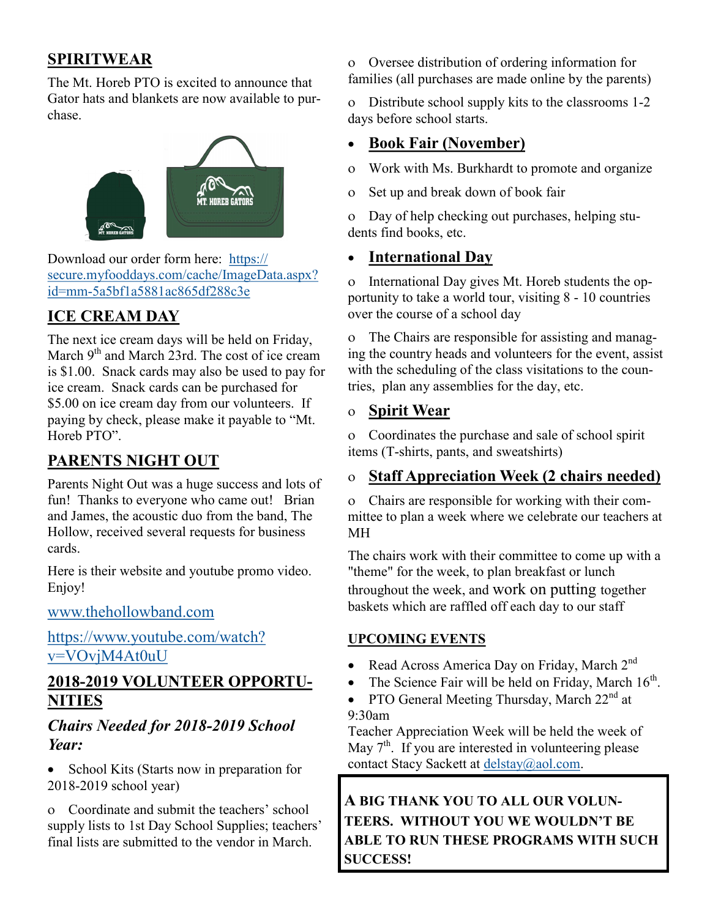# **SPIRITWEAR**

The Mt. Horeb PTO is excited to announce that Gator hats and blankets are now available to purchase.



Download our order form here: [https://](https://secure.myfooddays.com/cache/ImageData.aspx?id=mm-5a5bf1a5881ac865df288c3e) [secure.myfooddays.com/cache/ImageData.aspx?](https://secure.myfooddays.com/cache/ImageData.aspx?id=mm-5a5bf1a5881ac865df288c3e) id=mm-[5a5bf1a5881ac865df288c3e](https://secure.myfooddays.com/cache/ImageData.aspx?id=mm-5a5bf1a5881ac865df288c3e)

# **ICE CREAM DAY**

The next ice cream days will be held on Friday, March 9<sup>th</sup> and March 23rd. The cost of ice cream is \$1.00. Snack cards may also be used to pay for ice cream. Snack cards can be purchased for \$5.00 on ice cream day from our volunteers. If paying by check, please make it payable to "Mt. Horeb PTO".

# **PARENTS NIGHT OUT**

Parents Night Out was a huge success and lots of fun! Thanks to everyone who came out! Brian and James, the acoustic duo from the band, The Hollow, received several requests for business cards.

Here is their website and youtube promo video. Enjoy!

[www.thehollowband.com](http://www.thehollowband.com)

[https://www.youtube.com/watch?](https://www.youtube.com/watch?v=VOvjM4At0uU) [v=VOvjM4At0uU](https://www.youtube.com/watch?v=VOvjM4At0uU)

### **2018-2019 VOLUNTEER OPPORTU-NITIES**

### *Chairs Needed for 2018-2019 School Year:*

• School Kits (Starts now in preparation for 2018-2019 school year)

 Coordinate and submit the teachers' school supply lists to 1st Day School Supplies; teachers' final lists are submitted to the vendor in March.

 Oversee distribution of ordering information for families (all purchases are made online by the parents)

 Distribute school supply kits to the classrooms 1-2 days before school starts.

## **Book Fair (November)**

Work with Ms. Burkhardt to promote and organize

Set up and break down of book fair

 Day of help checking out purchases, helping students find books, etc.

## **International Day**

o International Day gives Mt. Horeb students the opportunity to take a world tour, visiting 8 - 10 countries over the course of a school day

 The Chairs are responsible for assisting and managing the country heads and volunteers for the event, assist with the scheduling of the class visitations to the countries, plan any assemblies for the day, etc.

### **Spirit Wear**

 Coordinates the purchase and sale of school spirit items (T-shirts, pants, and sweatshirts)

## **Staff Appreciation Week (2 chairs needed)**

 Chairs are responsible for working with their committee to plan a week where we celebrate our teachers at MH

The chairs work with their committee to come up with a "theme" for the week, to plan breakfast or lunch throughout the week, and work on putting together baskets which are raffled off each day to our staff

### **UPCOMING EVENTS**

- Read Across America Day on Friday, March  $2<sup>nd</sup>$
- The Science Fair will be held on Friday, March  $16<sup>th</sup>$ .
- PTO General Meeting Thursday, March  $22<sup>nd</sup>$  at 9:30am

Teacher Appreciation Week will be held the week of May  $7<sup>th</sup>$ . If you are interested in volunteering please contact Stacy Sackett at [delstay@aol.com.](mailto:delstay@aol.com)

**A BIG THANK YOU TO ALL OUR VOLUN-TEERS. WITHOUT YOU WE WOULDN'T BE ABLE TO RUN THESE PROGRAMS WITH SUCH SUCCESS!**